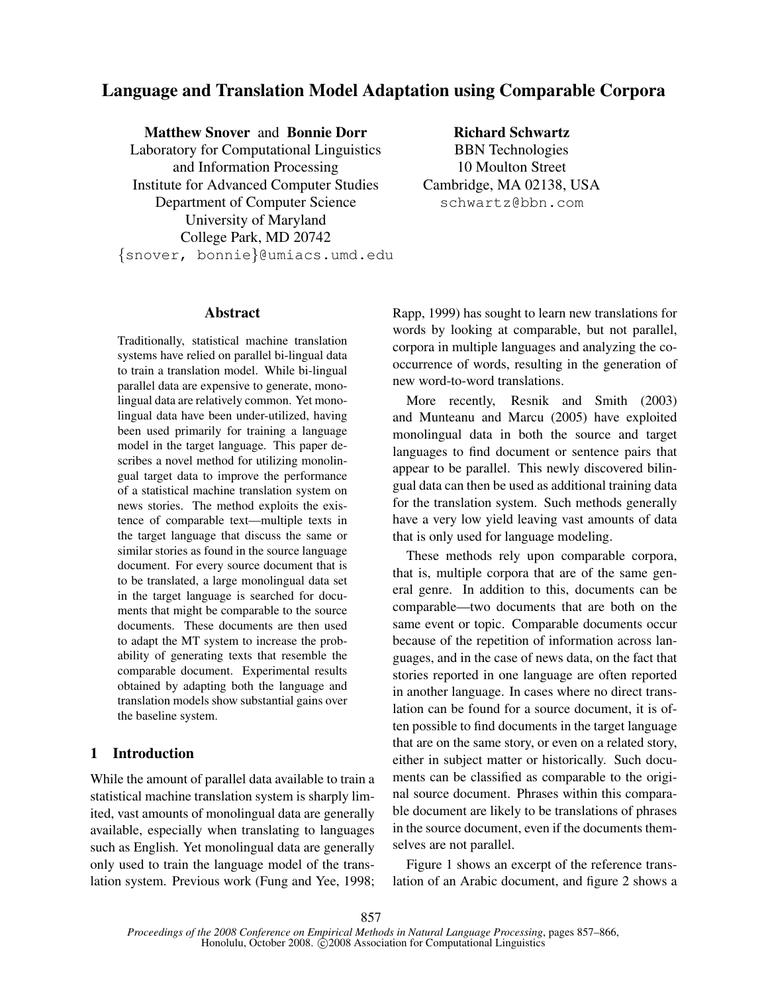# Language and Translation Model Adaptation using Comparable Corpora

Matthew Snover and Bonnie Dorr

Laboratory for Computational Linguistics and Information Processing Institute for Advanced Computer Studies Department of Computer Science University of Maryland College Park, MD 20742 {snover, bonnie}@umiacs.umd.edu

Richard Schwartz BBN Technologies 10 Moulton Street Cambridge, MA 02138, USA schwartz@bbn.com

### Abstract

Traditionally, statistical machine translation systems have relied on parallel bi-lingual data to train a translation model. While bi-lingual parallel data are expensive to generate, monolingual data are relatively common. Yet monolingual data have been under-utilized, having been used primarily for training a language model in the target language. This paper describes a novel method for utilizing monolingual target data to improve the performance of a statistical machine translation system on news stories. The method exploits the existence of comparable text—multiple texts in the target language that discuss the same or similar stories as found in the source language document. For every source document that is to be translated, a large monolingual data set in the target language is searched for documents that might be comparable to the source documents. These documents are then used to adapt the MT system to increase the probability of generating texts that resemble the comparable document. Experimental results obtained by adapting both the language and translation models show substantial gains over the baseline system.

## 1 Introduction

While the amount of parallel data available to train a statistical machine translation system is sharply limited, vast amounts of monolingual data are generally available, especially when translating to languages such as English. Yet monolingual data are generally only used to train the language model of the translation system. Previous work (Fung and Yee, 1998; Rapp, 1999) has sought to learn new translations for words by looking at comparable, but not parallel, corpora in multiple languages and analyzing the cooccurrence of words, resulting in the generation of new word-to-word translations.

More recently, Resnik and Smith (2003) and Munteanu and Marcu (2005) have exploited monolingual data in both the source and target languages to find document or sentence pairs that appear to be parallel. This newly discovered bilingual data can then be used as additional training data for the translation system. Such methods generally have a very low yield leaving vast amounts of data that is only used for language modeling.

These methods rely upon comparable corpora, that is, multiple corpora that are of the same general genre. In addition to this, documents can be comparable—two documents that are both on the same event or topic. Comparable documents occur because of the repetition of information across languages, and in the case of news data, on the fact that stories reported in one language are often reported in another language. In cases where no direct translation can be found for a source document, it is often possible to find documents in the target language that are on the same story, or even on a related story, either in subject matter or historically. Such documents can be classified as comparable to the original source document. Phrases within this comparable document are likely to be translations of phrases in the source document, even if the documents themselves are not parallel.

Figure 1 shows an excerpt of the reference translation of an Arabic document, and figure 2 shows a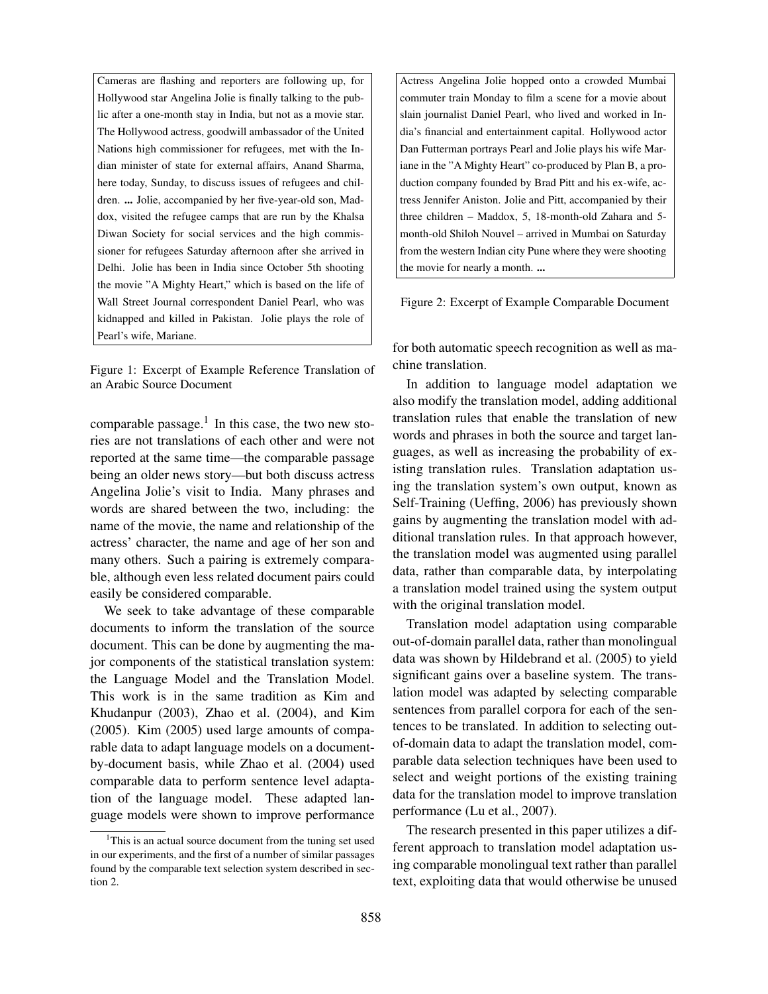Cameras are flashing and reporters are following up, for Hollywood star Angelina Jolie is finally talking to the public after a one-month stay in India, but not as a movie star. The Hollywood actress, goodwill ambassador of the United Nations high commissioner for refugees, met with the Indian minister of state for external affairs, Anand Sharma, here today, Sunday, to discuss issues of refugees and children. ... Jolie, accompanied by her five-year-old son, Maddox, visited the refugee camps that are run by the Khalsa Diwan Society for social services and the high commissioner for refugees Saturday afternoon after she arrived in Delhi. Jolie has been in India since October 5th shooting the movie "A Mighty Heart," which is based on the life of Wall Street Journal correspondent Daniel Pearl, who was kidnapped and killed in Pakistan. Jolie plays the role of Pearl's wife, Mariane.

Figure 1: Excerpt of Example Reference Translation of an Arabic Source Document

comparable passage.<sup>1</sup> In this case, the two new stories are not translations of each other and were not reported at the same time—the comparable passage being an older news story—but both discuss actress Angelina Jolie's visit to India. Many phrases and words are shared between the two, including: the name of the movie, the name and relationship of the actress' character, the name and age of her son and many others. Such a pairing is extremely comparable, although even less related document pairs could easily be considered comparable.

We seek to take advantage of these comparable documents to inform the translation of the source document. This can be done by augmenting the major components of the statistical translation system: the Language Model and the Translation Model. This work is in the same tradition as Kim and Khudanpur (2003), Zhao et al. (2004), and Kim (2005). Kim (2005) used large amounts of comparable data to adapt language models on a documentby-document basis, while Zhao et al. (2004) used comparable data to perform sentence level adaptation of the language model. These adapted language models were shown to improve performance

Actress Angelina Jolie hopped onto a crowded Mumbai commuter train Monday to film a scene for a movie about slain journalist Daniel Pearl, who lived and worked in India's financial and entertainment capital. Hollywood actor Dan Futterman portrays Pearl and Jolie plays his wife Mariane in the "A Mighty Heart" co-produced by Plan B, a production company founded by Brad Pitt and his ex-wife, actress Jennifer Aniston. Jolie and Pitt, accompanied by their three children – Maddox, 5, 18-month-old Zahara and 5 month-old Shiloh Nouvel – arrived in Mumbai on Saturday from the western Indian city Pune where they were shooting the movie for nearly a month. ...

Figure 2: Excerpt of Example Comparable Document

for both automatic speech recognition as well as machine translation.

In addition to language model adaptation we also modify the translation model, adding additional translation rules that enable the translation of new words and phrases in both the source and target languages, as well as increasing the probability of existing translation rules. Translation adaptation using the translation system's own output, known as Self-Training (Ueffing, 2006) has previously shown gains by augmenting the translation model with additional translation rules. In that approach however, the translation model was augmented using parallel data, rather than comparable data, by interpolating a translation model trained using the system output with the original translation model.

Translation model adaptation using comparable out-of-domain parallel data, rather than monolingual data was shown by Hildebrand et al. (2005) to yield significant gains over a baseline system. The translation model was adapted by selecting comparable sentences from parallel corpora for each of the sentences to be translated. In addition to selecting outof-domain data to adapt the translation model, comparable data selection techniques have been used to select and weight portions of the existing training data for the translation model to improve translation performance (Lu et al., 2007).

The research presented in this paper utilizes a different approach to translation model adaptation using comparable monolingual text rather than parallel text, exploiting data that would otherwise be unused

 $1$ This is an actual source document from the tuning set used in our experiments, and the first of a number of similar passages found by the comparable text selection system described in section 2.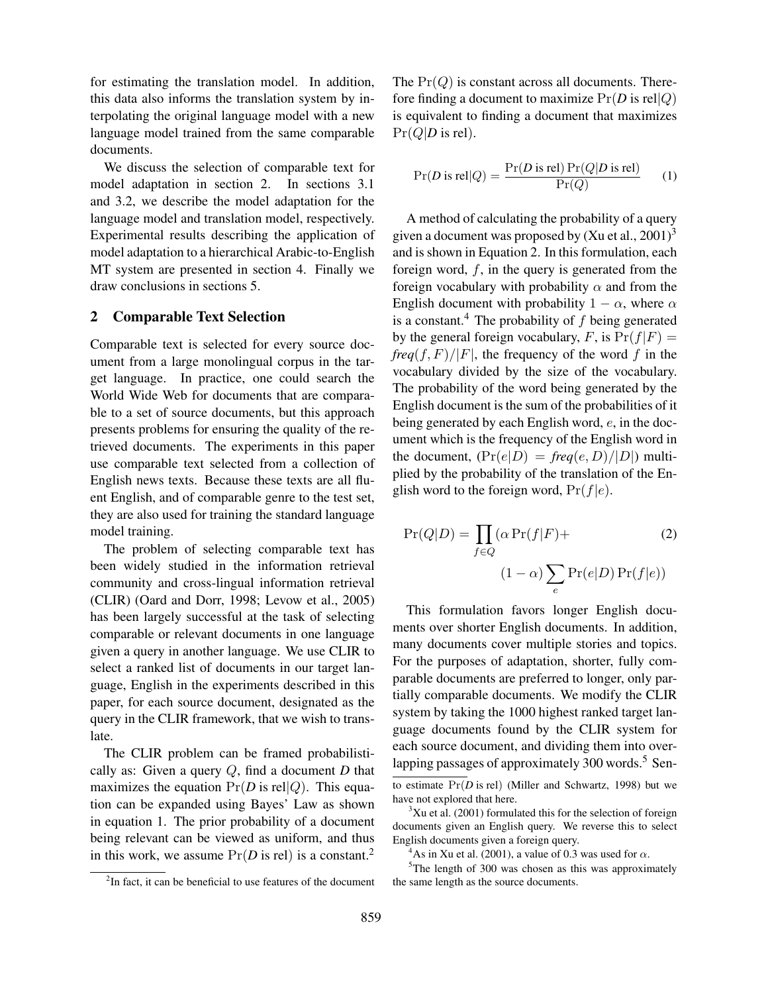for estimating the translation model. In addition, this data also informs the translation system by interpolating the original language model with a new language model trained from the same comparable documents.

We discuss the selection of comparable text for model adaptation in section 2. In sections 3.1 and 3.2, we describe the model adaptation for the language model and translation model, respectively. Experimental results describing the application of model adaptation to a hierarchical Arabic-to-English MT system are presented in section 4. Finally we draw conclusions in sections 5.

### 2 Comparable Text Selection

Comparable text is selected for every source document from a large monolingual corpus in the target language. In practice, one could search the World Wide Web for documents that are comparable to a set of source documents, but this approach presents problems for ensuring the quality of the retrieved documents. The experiments in this paper use comparable text selected from a collection of English news texts. Because these texts are all fluent English, and of comparable genre to the test set, they are also used for training the standard language model training.

The problem of selecting comparable text has been widely studied in the information retrieval community and cross-lingual information retrieval (CLIR) (Oard and Dorr, 1998; Levow et al., 2005) has been largely successful at the task of selecting comparable or relevant documents in one language given a query in another language. We use CLIR to select a ranked list of documents in our target language, English in the experiments described in this paper, for each source document, designated as the query in the CLIR framework, that we wish to translate.

The CLIR problem can be framed probabilistically as: Given a query Q, find a document *D* that maximizes the equation  $Pr(D \text{ is rel}|Q)$ . This equation can be expanded using Bayes' Law as shown in equation 1. The prior probability of a document being relevant can be viewed as uniform, and thus in this work, we assume  $Pr(D \text{ is rel})$  is a constant.<sup>2</sup>

 $2$ In fact, it can be beneficial to use features of the document

The  $Pr(Q)$  is constant across all documents. Therefore finding a document to maximize  $Pr(D \text{ is } rel | Q)$ is equivalent to finding a document that maximizes  $Pr(Q|D \text{ is rel}).$ 

$$
Pr(D \text{ is rel}|Q) = \frac{Pr(D \text{ is rel}) Pr(Q|D \text{ is rel})}{Pr(Q)}
$$
 (1)

A method of calculating the probability of a query given a document was proposed by  $(Xu et al., 2001)^3$ and is shown in Equation 2. In this formulation, each foreign word,  $f$ , in the query is generated from the foreign vocabulary with probability  $\alpha$  and from the English document with probability  $1 - \alpha$ , where  $\alpha$ is a constant.<sup>4</sup> The probability of  $f$  being generated by the general foreign vocabulary, F, is  $Pr(f|F)$  =  $freq(f, F)/|F|$ , the frequency of the word f in the vocabulary divided by the size of the vocabulary. The probability of the word being generated by the English document is the sum of the probabilities of it being generated by each English word, e, in the document which is the frequency of the English word in the document,  $(\Pr(e|D) = freq(e, D)/|D|)$  multiplied by the probability of the translation of the English word to the foreign word,  $Pr(f|e)$ .

$$
Pr(Q|D) = \prod_{f \in Q} (\alpha Pr(f|F) +
$$
\n
$$
(1 - \alpha) \sum_{e} Pr(e|D) Pr(f|e))
$$
\n(2)

This formulation favors longer English documents over shorter English documents. In addition, many documents cover multiple stories and topics. For the purposes of adaptation, shorter, fully comparable documents are preferred to longer, only partially comparable documents. We modify the CLIR system by taking the 1000 highest ranked target language documents found by the CLIR system for each source document, and dividing them into overlapping passages of approximately  $300$  words.<sup>5</sup> Sen-

to estimate Pr(*D* is rel) (Miller and Schwartz, 1998) but we have not explored that here.

 $3Xu$  et al. (2001) formulated this for the selection of foreign documents given an English query. We reverse this to select English documents given a foreign query.

<sup>&</sup>lt;sup>4</sup>As in Xu et al. (2001), a value of 0.3 was used for  $\alpha$ .

 $5$ The length of 300 was chosen as this was approximately the same length as the source documents.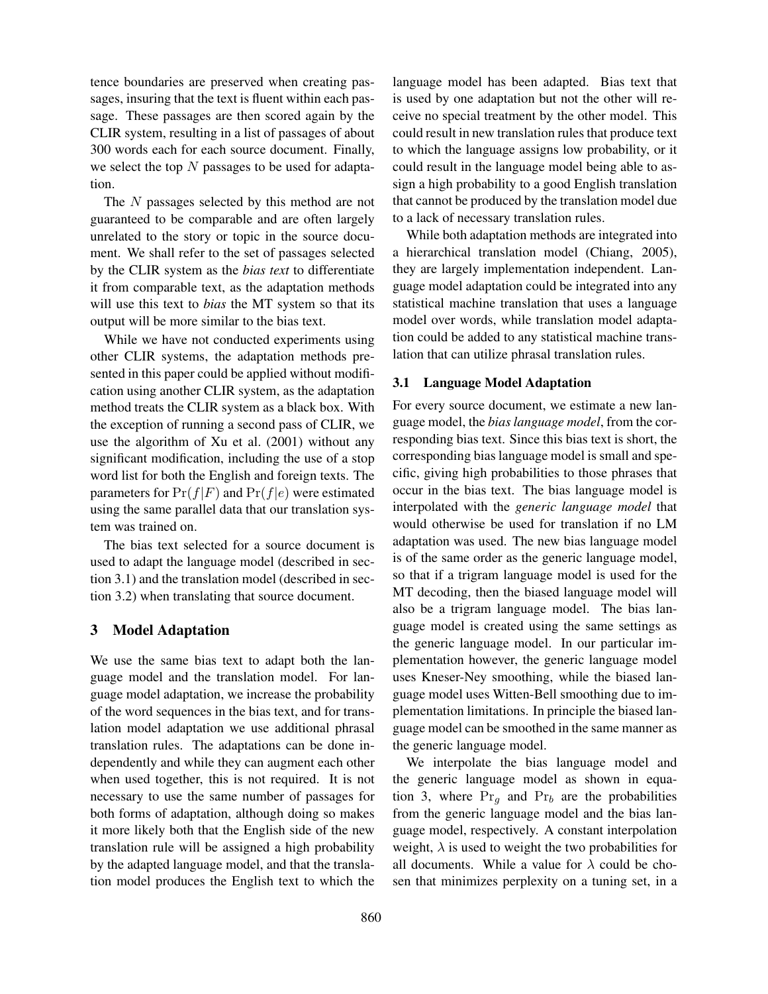tence boundaries are preserved when creating passages, insuring that the text is fluent within each passage. These passages are then scored again by the CLIR system, resulting in a list of passages of about 300 words each for each source document. Finally, we select the top  $N$  passages to be used for adaptation.

The N passages selected by this method are not guaranteed to be comparable and are often largely unrelated to the story or topic in the source document. We shall refer to the set of passages selected by the CLIR system as the *bias text* to differentiate it from comparable text, as the adaptation methods will use this text to *bias* the MT system so that its output will be more similar to the bias text.

While we have not conducted experiments using other CLIR systems, the adaptation methods presented in this paper could be applied without modification using another CLIR system, as the adaptation method treats the CLIR system as a black box. With the exception of running a second pass of CLIR, we use the algorithm of Xu et al. (2001) without any significant modification, including the use of a stop word list for both the English and foreign texts. The parameters for  $Pr(f|F)$  and  $Pr(f|e)$  were estimated using the same parallel data that our translation system was trained on.

The bias text selected for a source document is used to adapt the language model (described in section 3.1) and the translation model (described in section 3.2) when translating that source document.

### 3 Model Adaptation

We use the same bias text to adapt both the language model and the translation model. For language model adaptation, we increase the probability of the word sequences in the bias text, and for translation model adaptation we use additional phrasal translation rules. The adaptations can be done independently and while they can augment each other when used together, this is not required. It is not necessary to use the same number of passages for both forms of adaptation, although doing so makes it more likely both that the English side of the new translation rule will be assigned a high probability by the adapted language model, and that the translation model produces the English text to which the

language model has been adapted. Bias text that is used by one adaptation but not the other will receive no special treatment by the other model. This could result in new translation rules that produce text to which the language assigns low probability, or it could result in the language model being able to assign a high probability to a good English translation that cannot be produced by the translation model due to a lack of necessary translation rules.

While both adaptation methods are integrated into a hierarchical translation model (Chiang, 2005), they are largely implementation independent. Language model adaptation could be integrated into any statistical machine translation that uses a language model over words, while translation model adaptation could be added to any statistical machine translation that can utilize phrasal translation rules.

### 3.1 Language Model Adaptation

For every source document, we estimate a new language model, the *bias language model*, from the corresponding bias text. Since this bias text is short, the corresponding bias language model is small and specific, giving high probabilities to those phrases that occur in the bias text. The bias language model is interpolated with the *generic language model* that would otherwise be used for translation if no LM adaptation was used. The new bias language model is of the same order as the generic language model, so that if a trigram language model is used for the MT decoding, then the biased language model will also be a trigram language model. The bias language model is created using the same settings as the generic language model. In our particular implementation however, the generic language model uses Kneser-Ney smoothing, while the biased language model uses Witten-Bell smoothing due to implementation limitations. In principle the biased language model can be smoothed in the same manner as the generic language model.

We interpolate the bias language model and the generic language model as shown in equation 3, where  $Pr_a$  and  $Pr_b$  are the probabilities from the generic language model and the bias language model, respectively. A constant interpolation weight,  $\lambda$  is used to weight the two probabilities for all documents. While a value for  $\lambda$  could be chosen that minimizes perplexity on a tuning set, in a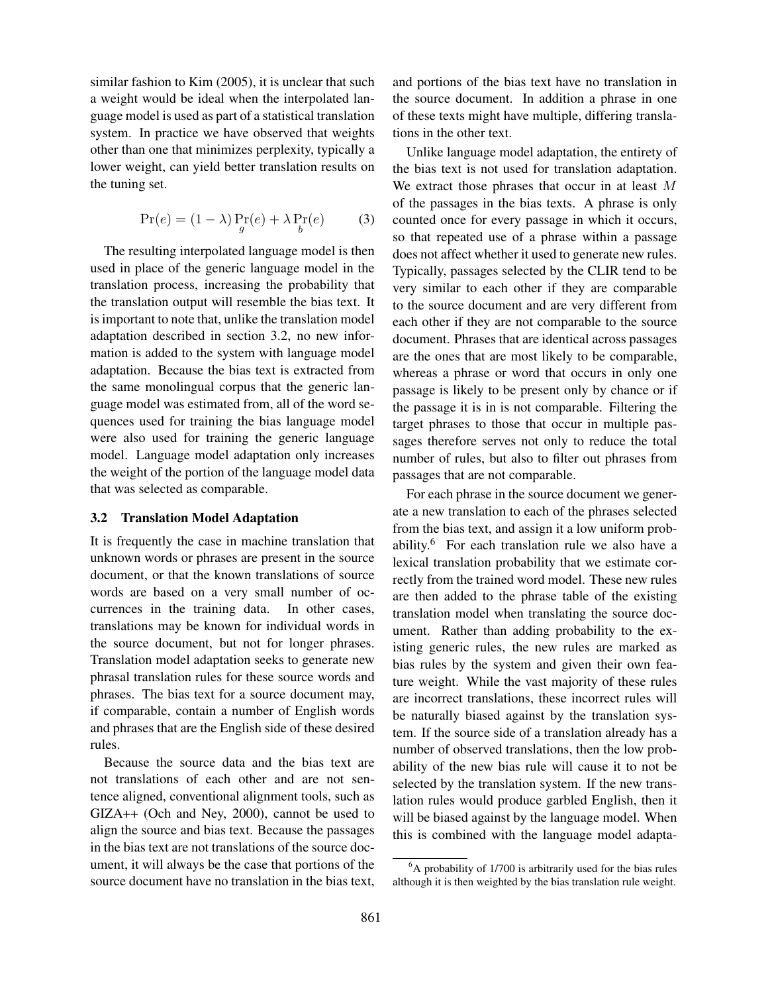similar fashion to Kim (2005), it is unclear that such a weight would be ideal when the interpolated language model is used as part of a statistical translation system. In practice we have observed that weights other than one that minimizes perplexity, typically a lower weight, can yield better translation results on the tuning set.

$$
\Pr(e) = (1 - \lambda) \Pr_{g}(e) + \lambda \Pr_{b}(e) \tag{3}
$$

The resulting interpolated language model is then used in place of the generic language model in the translation process, increasing the probability that the translation output will resemble the bias text. It is important to note that, unlike the translation model adaptation described in section 3.2, no new information is added to the system with language model adaptation. Because the bias text is extracted from the same monolingual corpus that the generic language model was estimated from, all of the word sequences used for training the bias language model were also used for training the generic language model. Language model adaptation only increases the weight of the portion of the language model data that was selected as comparable.

### 3.2 Translation Model Adaptation

It is frequently the case in machine translation that unknown words or phrases are present in the source document, or that the known translations of source words are based on a very small number of occurrences in the training data. In other cases, translations may be known for individual words in the source document, but not for longer phrases. Translation model adaptation seeks to generate new phrasal translation rules for these source words and phrases. The bias text for a source document may, if comparable, contain a number of English words and phrases that are the English side of these desired rules.

Because the source data and the bias text are not translations of each other and are not sentence aligned, conventional alignment tools, such as GIZA++ (Och and Ney, 2000), cannot be used to align the source and bias text. Because the passages in the bias text are not translations of the source document, it will always be the case that portions of the source document have no translation in the bias text, and portions of the bias text have no translation in the source document. In addition a phrase in one of these texts might have multiple, differing translations in the other text.

Unlike language model adaptation, the entirety of the bias text is not used for translation adaptation. We extract those phrases that occur in at least M of the passages in the bias texts. A phrase is only counted once for every passage in which it occurs, so that repeated use of a phrase within a passage does not affect whether it used to generate new rules. Typically, passages selected by the CLIR tend to be very similar to each other if they are comparable to the source document and are very different from each other if they are not comparable to the source document. Phrases that are identical across passages are the ones that are most likely to be comparable, whereas a phrase or word that occurs in only one passage is likely to be present only by chance or if the passage it is in is not comparable. Filtering the target phrases to those that occur in multiple passages therefore serves not only to reduce the total number of rules, but also to filter out phrases from passages that are not comparable.

For each phrase in the source document we generate a new translation to each of the phrases selected from the bias text, and assign it a low uniform probability.<sup>6</sup> For each translation rule we also have a lexical translation probability that we estimate correctly from the trained word model. These new rules are then added to the phrase table of the existing translation model when translating the source document. Rather than adding probability to the existing generic rules, the new rules are marked as bias rules by the system and given their own feature weight. While the vast majority of these rules are incorrect translations, these incorrect rules will be naturally biased against by the translation system. If the source side of a translation already has a number of observed translations, then the low probability of the new bias rule will cause it to not be selected by the translation system. If the new translation rules would produce garbled English, then it will be biased against by the language model. When this is combined with the language model adapta-

 ${}^{6}$ A probability of 1/700 is arbitrarily used for the bias rules although it is then weighted by the bias translation rule weight.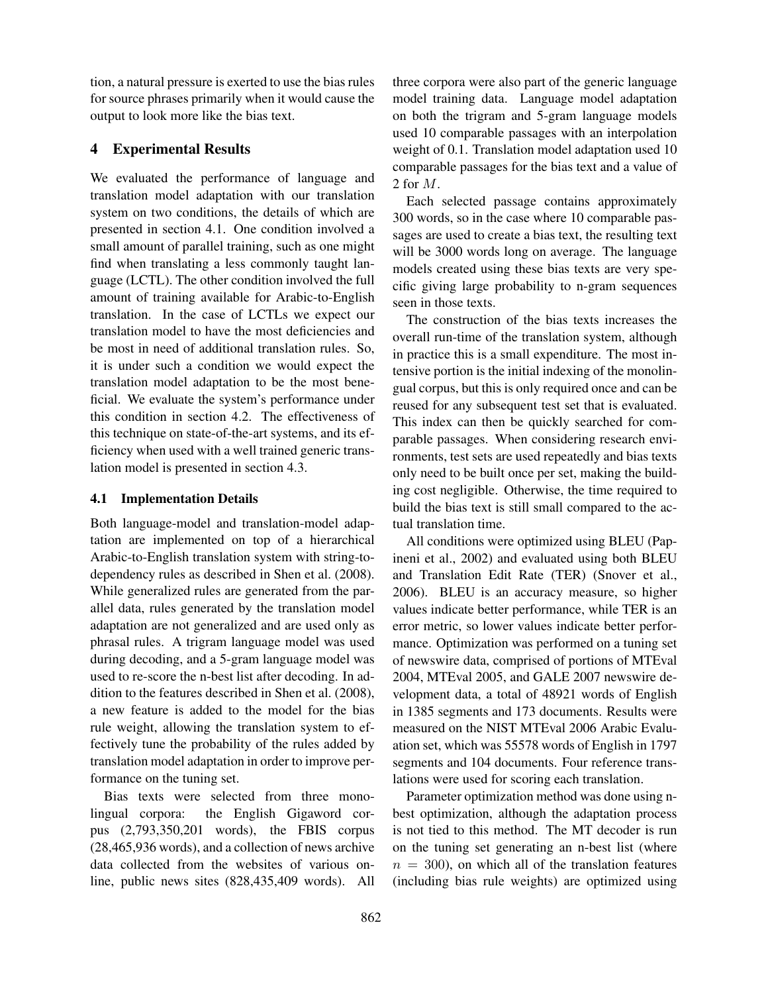tion, a natural pressure is exerted to use the bias rules for source phrases primarily when it would cause the output to look more like the bias text.

### 4 Experimental Results

We evaluated the performance of language and translation model adaptation with our translation system on two conditions, the details of which are presented in section 4.1. One condition involved a small amount of parallel training, such as one might find when translating a less commonly taught language (LCTL). The other condition involved the full amount of training available for Arabic-to-English translation. In the case of LCTLs we expect our translation model to have the most deficiencies and be most in need of additional translation rules. So, it is under such a condition we would expect the translation model adaptation to be the most beneficial. We evaluate the system's performance under this condition in section 4.2. The effectiveness of this technique on state-of-the-art systems, and its efficiency when used with a well trained generic translation model is presented in section 4.3.

### 4.1 Implementation Details

Both language-model and translation-model adaptation are implemented on top of a hierarchical Arabic-to-English translation system with string-todependency rules as described in Shen et al. (2008). While generalized rules are generated from the parallel data, rules generated by the translation model adaptation are not generalized and are used only as phrasal rules. A trigram language model was used during decoding, and a 5-gram language model was used to re-score the n-best list after decoding. In addition to the features described in Shen et al. (2008), a new feature is added to the model for the bias rule weight, allowing the translation system to effectively tune the probability of the rules added by translation model adaptation in order to improve performance on the tuning set.

Bias texts were selected from three monolingual corpora: the English Gigaword corpus (2,793,350,201 words), the FBIS corpus (28,465,936 words), and a collection of news archive data collected from the websites of various online, public news sites (828,435,409 words). All three corpora were also part of the generic language model training data. Language model adaptation on both the trigram and 5-gram language models used 10 comparable passages with an interpolation weight of 0.1. Translation model adaptation used 10 comparable passages for the bias text and a value of 2 for M.

Each selected passage contains approximately 300 words, so in the case where 10 comparable passages are used to create a bias text, the resulting text will be 3000 words long on average. The language models created using these bias texts are very specific giving large probability to n-gram sequences seen in those texts.

The construction of the bias texts increases the overall run-time of the translation system, although in practice this is a small expenditure. The most intensive portion is the initial indexing of the monolingual corpus, but this is only required once and can be reused for any subsequent test set that is evaluated. This index can then be quickly searched for comparable passages. When considering research environments, test sets are used repeatedly and bias texts only need to be built once per set, making the building cost negligible. Otherwise, the time required to build the bias text is still small compared to the actual translation time.

All conditions were optimized using BLEU (Papineni et al., 2002) and evaluated using both BLEU and Translation Edit Rate (TER) (Snover et al., 2006). BLEU is an accuracy measure, so higher values indicate better performance, while TER is an error metric, so lower values indicate better performance. Optimization was performed on a tuning set of newswire data, comprised of portions of MTEval 2004, MTEval 2005, and GALE 2007 newswire development data, a total of 48921 words of English in 1385 segments and 173 documents. Results were measured on the NIST MTEval 2006 Arabic Evaluation set, which was 55578 words of English in 1797 segments and 104 documents. Four reference translations were used for scoring each translation.

Parameter optimization method was done using nbest optimization, although the adaptation process is not tied to this method. The MT decoder is run on the tuning set generating an n-best list (where  $n = 300$ , on which all of the translation features (including bias rule weights) are optimized using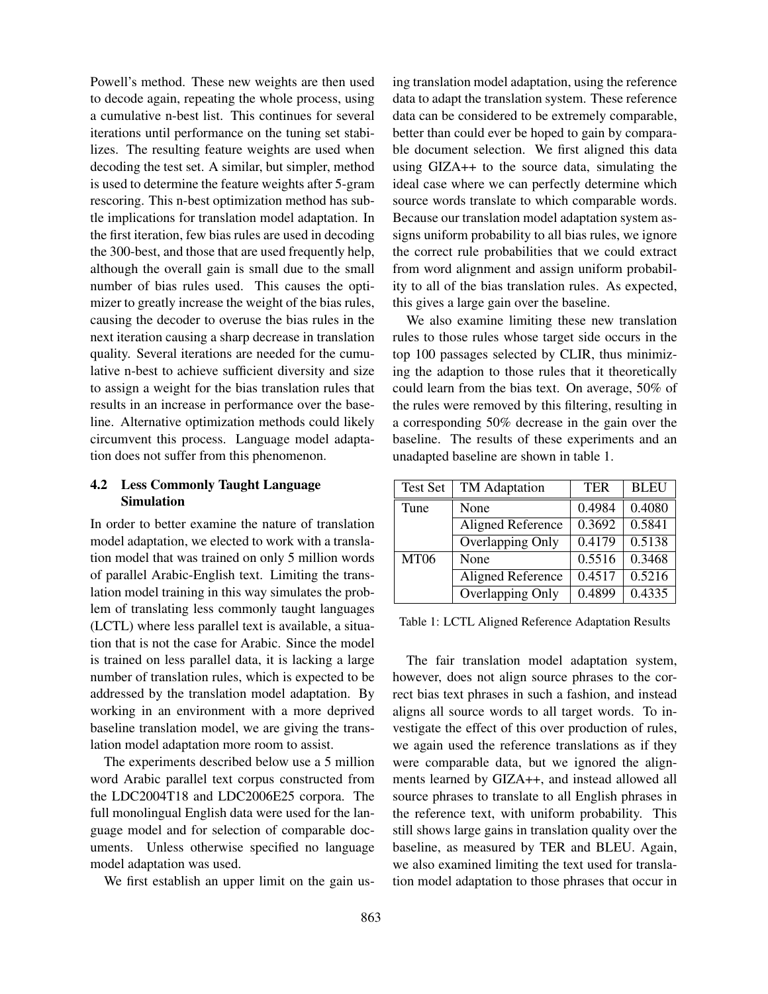Powell's method. These new weights are then used to decode again, repeating the whole process, using a cumulative n-best list. This continues for several iterations until performance on the tuning set stabilizes. The resulting feature weights are used when decoding the test set. A similar, but simpler, method is used to determine the feature weights after 5-gram rescoring. This n-best optimization method has subtle implications for translation model adaptation. In the first iteration, few bias rules are used in decoding the 300-best, and those that are used frequently help, although the overall gain is small due to the small number of bias rules used. This causes the optimizer to greatly increase the weight of the bias rules, causing the decoder to overuse the bias rules in the next iteration causing a sharp decrease in translation quality. Several iterations are needed for the cumulative n-best to achieve sufficient diversity and size to assign a weight for the bias translation rules that results in an increase in performance over the baseline. Alternative optimization methods could likely circumvent this process. Language model adaptation does not suffer from this phenomenon.

### 4.2 Less Commonly Taught Language Simulation

In order to better examine the nature of translation model adaptation, we elected to work with a translation model that was trained on only 5 million words of parallel Arabic-English text. Limiting the translation model training in this way simulates the problem of translating less commonly taught languages (LCTL) where less parallel text is available, a situation that is not the case for Arabic. Since the model is trained on less parallel data, it is lacking a large number of translation rules, which is expected to be addressed by the translation model adaptation. By working in an environment with a more deprived baseline translation model, we are giving the translation model adaptation more room to assist.

The experiments described below use a 5 million word Arabic parallel text corpus constructed from the LDC2004T18 and LDC2006E25 corpora. The full monolingual English data were used for the language model and for selection of comparable documents. Unless otherwise specified no language model adaptation was used.

We first establish an upper limit on the gain us-

ing translation model adaptation, using the reference data to adapt the translation system. These reference data can be considered to be extremely comparable, better than could ever be hoped to gain by comparable document selection. We first aligned this data using GIZA++ to the source data, simulating the ideal case where we can perfectly determine which source words translate to which comparable words. Because our translation model adaptation system assigns uniform probability to all bias rules, we ignore the correct rule probabilities that we could extract from word alignment and assign uniform probability to all of the bias translation rules. As expected, this gives a large gain over the baseline.

We also examine limiting these new translation rules to those rules whose target side occurs in the top 100 passages selected by CLIR, thus minimizing the adaption to those rules that it theoretically could learn from the bias text. On average, 50% of the rules were removed by this filtering, resulting in a corresponding 50% decrease in the gain over the baseline. The results of these experiments and an unadapted baseline are shown in table 1.

| <b>Test Set</b> | <b>TM</b> Adaptation | <b>TER</b> | <b>BLEU</b>         |
|-----------------|----------------------|------------|---------------------|
| Tune            | None                 | 0.4984     | 0.4080              |
|                 | Aligned Reference    | 0.3692     | 0.5841              |
|                 | Overlapping Only     | 0.4179     | $\overline{0.5138}$ |
| <b>MT06</b>     | None                 | 0.5516     | 0.3468              |
|                 | Aligned Reference    | 0.4517     | 0.5216              |
|                 | Overlapping Only     | 0.4899     | 0.4335              |

Table 1: LCTL Aligned Reference Adaptation Results

The fair translation model adaptation system, however, does not align source phrases to the correct bias text phrases in such a fashion, and instead aligns all source words to all target words. To investigate the effect of this over production of rules, we again used the reference translations as if they were comparable data, but we ignored the alignments learned by GIZA++, and instead allowed all source phrases to translate to all English phrases in the reference text, with uniform probability. This still shows large gains in translation quality over the baseline, as measured by TER and BLEU. Again, we also examined limiting the text used for translation model adaptation to those phrases that occur in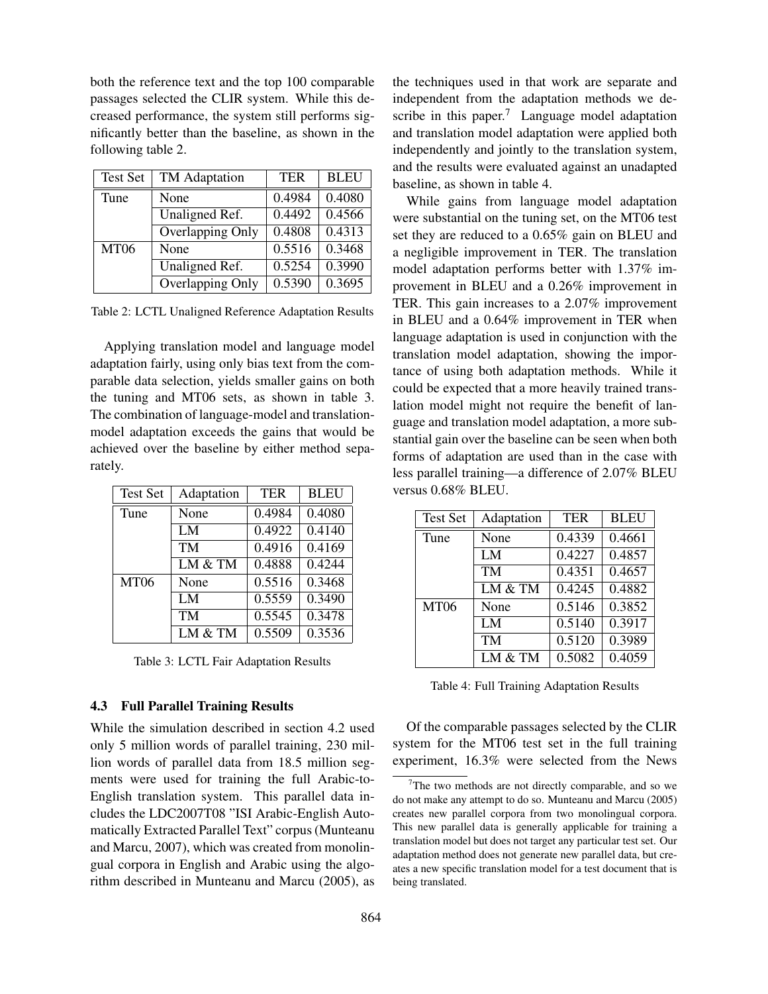both the reference text and the top 100 comparable passages selected the CLIR system. While this decreased performance, the system still performs significantly better than the baseline, as shown in the following table 2.

| Test Set    | TM Adaptation    | <b>TER</b> | <b>BLEU</b>         |
|-------------|------------------|------------|---------------------|
| Tune        | None             | 0.4984     | 0.4080              |
|             | Unaligned Ref.   | 0.4492     | $\overline{0.4566}$ |
|             | Overlapping Only | 0.4808     | $\overline{0.4313}$ |
| <b>MT06</b> | None             | 0.5516     | 0.3468              |
|             | Unaligned Ref.   | 0.5254     | 0.3990              |
|             | Overlapping Only | 0.5390     | 0.3695              |

Table 2: LCTL Unaligned Reference Adaptation Results

Applying translation model and language model adaptation fairly, using only bias text from the comparable data selection, yields smaller gains on both the tuning and MT06 sets, as shown in table 3. The combination of language-model and translationmodel adaptation exceeds the gains that would be achieved over the baseline by either method separately.

| <b>Test Set</b>  | Adaptation | TER    | <b>BLEU</b> |
|------------------|------------|--------|-------------|
| Tune             | None       | 0.4984 | 0.4080      |
|                  | LM         | 0.4922 | 0.4140      |
|                  | TM         | 0.4916 | 0.4169      |
|                  | LM & TM    | 0.4888 | 0.4244      |
| MT <sub>06</sub> | None       | 0.5516 | 0.3468      |
|                  | LM         | 0.5559 | 0.3490      |
|                  | TM         | 0.5545 | 0.3478      |
|                  | LM & TM    | 0.5509 | 0.3536      |

Table 3: LCTL Fair Adaptation Results

### 4.3 Full Parallel Training Results

While the simulation described in section 4.2 used only 5 million words of parallel training, 230 million words of parallel data from 18.5 million segments were used for training the full Arabic-to-English translation system. This parallel data includes the LDC2007T08 "ISI Arabic-English Automatically Extracted Parallel Text" corpus (Munteanu and Marcu, 2007), which was created from monolingual corpora in English and Arabic using the algorithm described in Munteanu and Marcu (2005), as

the techniques used in that work are separate and independent from the adaptation methods we describe in this paper.<sup>7</sup> Language model adaptation and translation model adaptation were applied both independently and jointly to the translation system, and the results were evaluated against an unadapted baseline, as shown in table 4.

While gains from language model adaptation were substantial on the tuning set, on the MT06 test set they are reduced to a 0.65% gain on BLEU and a negligible improvement in TER. The translation model adaptation performs better with 1.37% improvement in BLEU and a 0.26% improvement in TER. This gain increases to a 2.07% improvement in BLEU and a 0.64% improvement in TER when language adaptation is used in conjunction with the translation model adaptation, showing the importance of using both adaptation methods. While it could be expected that a more heavily trained translation model might not require the benefit of language and translation model adaptation, a more substantial gain over the baseline can be seen when both forms of adaptation are used than in the case with less parallel training—a difference of 2.07% BLEU versus 0.68% BLEU.

| <b>Test Set</b> | Adaptation | <b>TER</b> | <b>BLEU</b> |
|-----------------|------------|------------|-------------|
| Tune            | None       | 0.4339     | 0.4661      |
|                 | LM         | 0.4227     | 0.4857      |
|                 | <b>TM</b>  | 0.4351     | 0.4657      |
|                 | LM & TM    | 0.4245     | 0.4882      |
| <b>MT06</b>     | None       | 0.5146     | 0.3852      |
|                 | LM         | 0.5140     | 0.3917      |
|                 | <b>TM</b>  | 0.5120     | 0.3989      |
|                 | LM & TM    | 0.5082     | 0.4059      |

Table 4: Full Training Adaptation Results

Of the comparable passages selected by the CLIR system for the MT06 test set in the full training experiment, 16.3% were selected from the News

 $7$ The two methods are not directly comparable, and so we do not make any attempt to do so. Munteanu and Marcu (2005) creates new parallel corpora from two monolingual corpora. This new parallel data is generally applicable for training a translation model but does not target any particular test set. Our adaptation method does not generate new parallel data, but creates a new specific translation model for a test document that is being translated.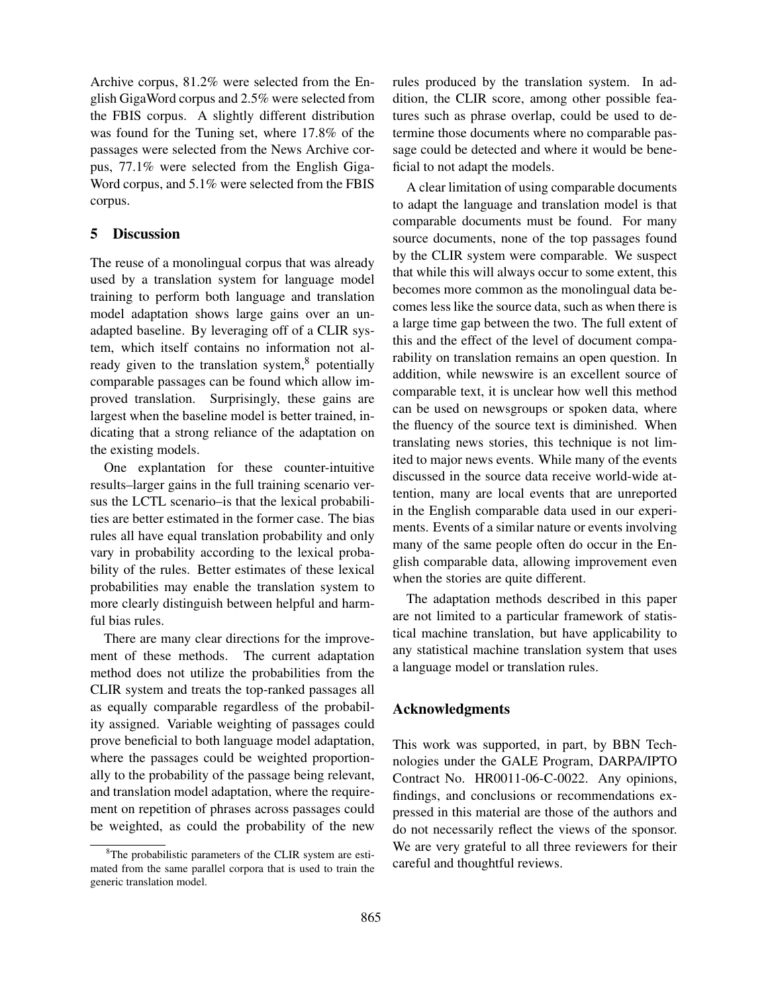Archive corpus, 81.2% were selected from the English GigaWord corpus and 2.5% were selected from the FBIS corpus. A slightly different distribution was found for the Tuning set, where 17.8% of the passages were selected from the News Archive corpus, 77.1% were selected from the English Giga-Word corpus, and 5.1% were selected from the FBIS corpus.

### 5 Discussion

The reuse of a monolingual corpus that was already used by a translation system for language model training to perform both language and translation model adaptation shows large gains over an unadapted baseline. By leveraging off of a CLIR system, which itself contains no information not already given to the translation system, $8$  potentially comparable passages can be found which allow improved translation. Surprisingly, these gains are largest when the baseline model is better trained, indicating that a strong reliance of the adaptation on the existing models.

One explantation for these counter-intuitive results–larger gains in the full training scenario versus the LCTL scenario–is that the lexical probabilities are better estimated in the former case. The bias rules all have equal translation probability and only vary in probability according to the lexical probability of the rules. Better estimates of these lexical probabilities may enable the translation system to more clearly distinguish between helpful and harmful bias rules.

There are many clear directions for the improvement of these methods. The current adaptation method does not utilize the probabilities from the CLIR system and treats the top-ranked passages all as equally comparable regardless of the probability assigned. Variable weighting of passages could prove beneficial to both language model adaptation, where the passages could be weighted proportionally to the probability of the passage being relevant, and translation model adaptation, where the requirement on repetition of phrases across passages could be weighted, as could the probability of the new

rules produced by the translation system. In addition, the CLIR score, among other possible features such as phrase overlap, could be used to determine those documents where no comparable passage could be detected and where it would be beneficial to not adapt the models.

A clear limitation of using comparable documents to adapt the language and translation model is that comparable documents must be found. For many source documents, none of the top passages found by the CLIR system were comparable. We suspect that while this will always occur to some extent, this becomes more common as the monolingual data becomes less like the source data, such as when there is a large time gap between the two. The full extent of this and the effect of the level of document comparability on translation remains an open question. In addition, while newswire is an excellent source of comparable text, it is unclear how well this method can be used on newsgroups or spoken data, where the fluency of the source text is diminished. When translating news stories, this technique is not limited to major news events. While many of the events discussed in the source data receive world-wide attention, many are local events that are unreported in the English comparable data used in our experiments. Events of a similar nature or events involving many of the same people often do occur in the English comparable data, allowing improvement even when the stories are quite different.

The adaptation methods described in this paper are not limited to a particular framework of statistical machine translation, but have applicability to any statistical machine translation system that uses a language model or translation rules.

#### Acknowledgments

This work was supported, in part, by BBN Technologies under the GALE Program, DARPA/IPTO Contract No. HR0011-06-C-0022. Any opinions, findings, and conclusions or recommendations expressed in this material are those of the authors and do not necessarily reflect the views of the sponsor. We are very grateful to all three reviewers for their careful and thoughtful reviews.

<sup>8</sup>The probabilistic parameters of the CLIR system are estimated from the same parallel corpora that is used to train the generic translation model.